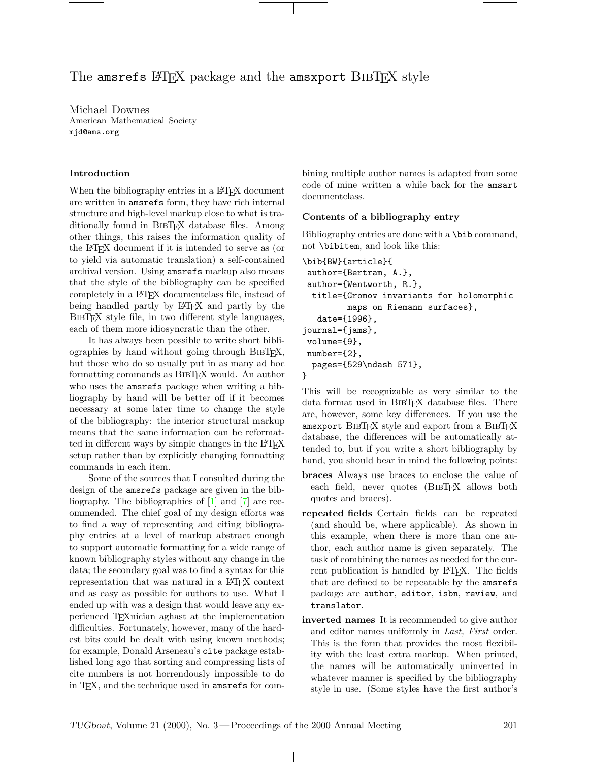# The amsrefs LATEX package and the amsxport BIBTEX style

Michael Downes American Mathematical Society mjd@ams.org

## Introduction

When the bibliography entries in a L<sup>AT</sup>EX document are written in amsrefs form, they have rich internal structure and high-level markup close to what is traditionally found in BibTEX database files. Among other things, this raises the information quality of the LATEX document if it is intended to serve as (or to yield via automatic translation) a self-contained archival version. Using amsrefs markup also means that the style of the bibliography can be specified completely in a LATEX documentclass file, instead of being handled partly by LATEX and partly by the BibTEX style file, in two different style languages, each of them more idiosyncratic than the other.

It has always been possible to write short bibliographies by hand without going through BibTEX, but those who do so usually put in as many ad hoc formatting commands as BibTEX would. An author who uses the amsrefs package when writing a bibliography by hand will be better off if it becomes necessary at some later time to change the style of the bibliography: the interior structural markup means that the same information can be reformatted in different ways by simple changes in the LAT<sub>EX</sub> setup rather than by explicitly changing formatting commands in each item.

Some of the sources that I consulted during the design of the amsrefs package are given in the bibliography. The bibliographies of [\[1\]](#page-8-0) and [\[7\]](#page-8-1) are recommended. The chief goal of my design efforts was to find a way of representing and citing bibliography entries at a level of markup abstract enough to support automatic formatting for a wide range of known bibliography styles without any change in the data; the secondary goal was to find a syntax for this representation that was natural in a LATEX context and as easy as possible for authors to use. What I ended up with was a design that would leave any experienced TEXnician aghast at the implementation difficulties. Fortunately, however, many of the hardest bits could be dealt with using known methods; for example, Donald Arseneau's cite package established long ago that sorting and compressing lists of cite numbers is not horrendously impossible to do in TEX, and the technique used in amsrefs for combining multiple author names is adapted from some code of mine written a while back for the amsart documentclass.

## Contents of a bibliography entry

Bibliography entries are done with a \bib command, not \bibitem, and look like this:

```
\bib{BW}{article}{
author={Bertram, A.},
author={Wentworth, R.},
 title={Gromov invariants for holomorphic
         maps on Riemann surfaces},
   date={1996},
journal={jams},
volume={9},
number={2},
 pages={529\ndash 571},
}
```
This will be recognizable as very similar to the data format used in BIBT<sub>F</sub>X database files. There are, however, some key differences. If you use the amsxport BIBTFX style and export from a BIBTFX database, the differences will be automatically attended to, but if you write a short bibliography by hand, you should bear in mind the following points:

- braces Always use braces to enclose the value of each field, never quotes (BIBT<sub>EX</sub> allows both quotes and braces).
- repeated fields Certain fields can be repeated (and should be, where applicable). As shown in this example, when there is more than one author, each author name is given separately. The task of combining the names as needed for the current publication is handled by L<sup>AT</sup>FX. The fields that are defined to be repeatable by the amsrefs package are author, editor, isbn, review, and translator.
- inverted names It is recommended to give author and editor names uniformly in Last, First order. This is the form that provides the most flexibility with the least extra markup. When printed, the names will be automatically uninverted in whatever manner is specified by the bibliography style in use. (Some styles have the first author's

 $\perp$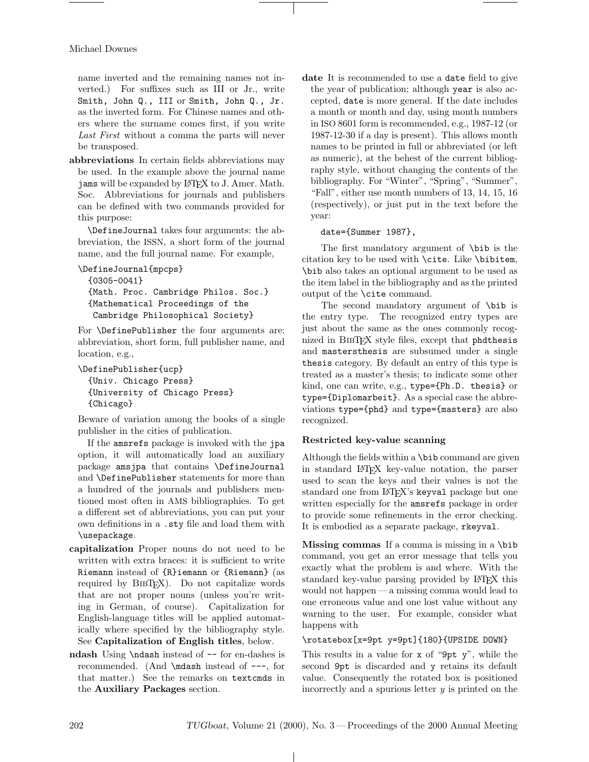name inverted and the remaining names not inverted.) For suffixes such as III or Jr., write Smith, John Q., III or Smith, John Q., Jr. as the inverted form. For Chinese names and others where the surname comes first, if you write Last First without a comma the parts will never be transposed.

abbreviations In certain fields abbreviations may be used. In the example above the journal name jams will be expanded by L<sup>AT</sup>FX to J. Amer. Math. Soc. Abbreviations for journals and publishers can be defined with two commands provided for this purpose:

\DefineJournal takes four arguments: the abbreviation, the ISSN, a short form of the journal name, and the full journal name. For example,

```
\DefineJournal{mpcps}
  {0305-0041}
  {Math. Proc. Cambridge Philos. Soc.}
  {Mathematical Proceedings of the
  Cambridge Philosophical Society}
```
For \DefinePublisher the four arguments are: abbreviation, short form, full publisher name, and location, e.g.,

```
\DefinePublisher{ucp}
  {Univ. Chicago Press}
  {University of Chicago Press}
  {Chicago}
```
Beware of variation among the books of a single publisher in the cities of publication.

If the amsrefs package is invoked with the jpa option, it will automatically load an auxiliary package amsjpa that contains \DefineJournal and \DefinePublisher statements for more than a hundred of the journals and publishers mentioned most often in AMS bibliographies. To get a different set of abbreviations, you can put your own definitions in a .sty file and load them with \usepackage.

- capitalization Proper nouns do not need to be written with extra braces: it is sufficient to write Riemann instead of {R}iemann or {Riemann} (as required by BIBT<sub>EX</sub>). Do not capitalize words that are not proper nouns (unless you're writing in German, of course). Capitalization for English-language titles will be applied automatically where specified by the bibliography style. See Capitalization of English titles, below.
- ndash Using \ndash instead of -- for en-dashes is recommended. (And \mdash instead of ---, for that matter.) See the remarks on textcmds in the Auxiliary Packages section.

date It is recommended to use a date field to give the year of publication; although year is also accepted, date is more general. If the date includes a month or month and day, using month numbers in ISO 8601 form is recommended, e.g., 1987-12 (or 1987-12-30 if a day is present). This allows month names to be printed in full or abbreviated (or left as numeric), at the behest of the current bibliography style, without changing the contents of the bibliography. For "Winter", "Spring", "Summer", "Fall", either use month numbers of 13, 14, 15, 16 (respectively), or just put in the text before the year:

### date={Summer 1987},

The first mandatory argument of \bib is the citation key to be used with \cite. Like \bibitem, \bib also takes an optional argument to be used as the item label in the bibliography and as the printed output of the \cite command.

The second mandatory argument of \bib is the entry type. The recognized entry types are just about the same as the ones commonly recognized in BIBT<sub>F</sub>X style files, except that phdthesis and mastersthesis are subsumed under a single thesis category. By default an entry of this type is treated as a master's thesis; to indicate some other kind, one can write, e.g., type={Ph.D. thesis} or type={Diplomarbeit}. As a special case the abbreviations type={phd} and type={masters} are also recognized.

## Restricted key-value scanning

Although the fields within a \bib command are given in standard LATEX key-value notation, the parser used to scan the keys and their values is not the standard one from L<sup>AT</sup>FX's keyval package but one written especially for the amsrefs package in order to provide some refinements in the error checking. It is embodied as a separate package, rkeyval.

Missing commas If a comma is missing in a \bib command, you get an error message that tells you exactly what the problem is and where. With the standard key-value parsing provided by LAT<sub>EX</sub> this would not happen— a missing comma would lead to one erroneous value and one lost value without any warning to the user. For example, consider what happens with

## \rotatebox[x=9pt y=9pt]{180}{UPSIDE DOWN}

This results in a value for x of "9pt y", while the second 9pt is discarded and y retains its default value. Consequently the rotated box is positioned incorrectly and a spurious letter  $y$  is printed on the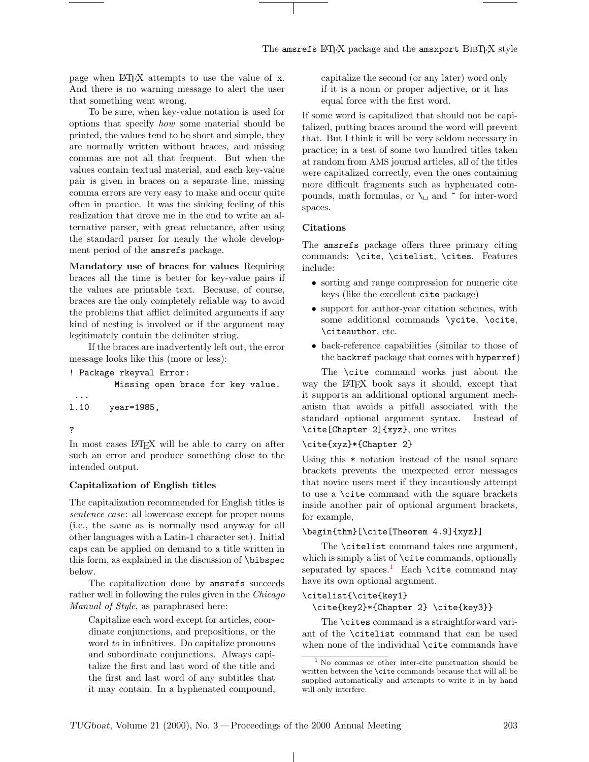page when LATEX attempts to use the value of x. And there is no warning message to alert the user that something went wrong.

To be sure, when key-value notation is used for options that specify how some material should be printed, the values tend to be short and simple, they are normally written without braces, and missing commas are not all that frequent. But when the values contain textual material, and each key-value pair is given in braces on a separate line, missing comma errors are very easy to make and occur quite often in practice. It was the sinking feeling of this realization that drove me in the end to write an alternative parser, with great reluctance, after using the standard parser for nearly the whole development period of the amsrefs package.

Mandatory use of braces for values Requiring braces all the time is better for key-value pairs if the values are printable text. Because, of course, braces are the only completely reliable way to avoid the problems that afflict delimited arguments if any kind of nesting is involved or if the argument may legitimately contain the delimiter string.

If the braces are inadvertently left out, the error message looks like this (more or less):

```
! Package rkeyval Error:
         Missing open brace for key value.
...
```
- l.10 year=1985,
- ?

In most cases LAT<sub>EX</sub> will be able to carry on after such an error and produce something close to the intended output.

## Capitalization of English titles

The capitalization recommended for English titles is sentence case: all lowercase except for proper nouns (i.e., the same as is normally used anyway for all other languages with a Latin-1 character set). Initial caps can be applied on demand to a title written in this form, as explained in the discussion of \bibspec below.

The capitalization done by amsrefs succeeds rather well in following the rules given in the Chicago Manual of Style, as paraphrased here:

Capitalize each word except for articles, coordinate conjunctions, and prepositions, or the word to in infinitives. Do capitalize pronouns and subordinate conjunctions. Always capitalize the first and last word of the title and the first and last word of any subtitles that it may contain. In a hyphenated compound,

capitalize the second (or any later) word only if it is a noun or proper adjective, or it has equal force with the first word.

If some word is capitalized that should not be capitalized, putting braces around the word will prevent that. But I think it will be very seldom necessary in practice; in a test of some two hundred titles taken at random from AMS journal articles, all of the titles were capitalized correctly, even the ones containing more difficult fragments such as hyphenated compounds, math formulas, or  $\mathcal{L}_{\mathcal{L}}$  and  $\tilde{\mathcal{L}}$  for inter-word spaces.

### Citations

The amsrefs package offers three primary citing commands: \cite, \citelist, \cites. Features include:

- sorting and range compression for numeric cite keys (like the excellent cite package)
- support for author-year citation schemes, with some additional commands \ycite, \ocite, \citeauthor, etc.
- back-reference capabilities (similar to those of the backref package that comes with hyperref)

The \cite command works just about the way the L<sup>AT</sup>EX book says it should, except that it supports an additional optional argument mechanism that avoids a pitfall associated with the standard optional argument syntax. Instead of \cite[Chapter 2]{xyz}, one writes

## \cite{xyz}\*{Chapter 2}

Using this \* notation instead of the usual square brackets prevents the unexpected error messages that novice users meet if they incautiously attempt to use a \cite command with the square brackets inside another pair of optional argument brackets, for example,

## \begin{thm}[\cite[Theorem 4.9]{xyz}]

The \citelist command takes one argument, which is simply a list of **\cite** commands, optionally separated by spaces.<sup>[1](#page-2-0)</sup> Each **\cite** command may have its own optional argument.

#### \citelist{\cite{key1}

\cite{key2}\*{Chapter 2} \cite{key3}}

The **\cites** command is a straightforward variant of the \citelist command that can be used when none of the individual **\cite** commands have

<span id="page-2-0"></span><sup>1</sup> No commas or other inter-cite punctuation should be written between the \cite commands because that will all be supplied automatically and attempts to write it in by hand will only interfere.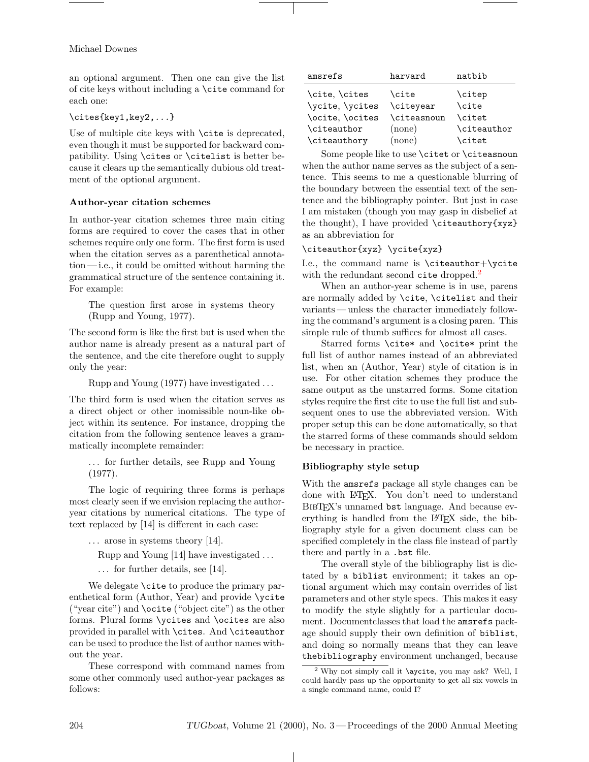### Michael Downes

an optional argument. Then one can give the list of cite keys without including a \cite command for each one:

## \cites{key1,key2,...}

Use of multiple cite keys with \cite is deprecated, even though it must be supported for backward compatibility. Using \cites or \citelist is better because it clears up the semantically dubious old treatment of the optional argument.

### Author-year citation schemes

In author-year citation schemes three main citing forms are required to cover the cases that in other schemes require only one form. The first form is used when the citation serves as a parenthetical annota- $\text{tion}$ — i.e., it could be omitted without harming the grammatical structure of the sentence containing it. For example:

The question first arose in systems theory (Rupp and Young, 1977).

The second form is like the first but is used when the author name is already present as a natural part of the sentence, and the cite therefore ought to supply only the year:

Rupp and Young (1977) have investigated . . .

The third form is used when the citation serves as a direct object or other inomissible noun-like object within its sentence. For instance, dropping the citation from the following sentence leaves a grammatically incomplete remainder:

. . . for further details, see Rupp and Young (1977).

The logic of requiring three forms is perhaps most clearly seen if we envision replacing the authoryear citations by numerical citations. The type of text replaced by [14] is different in each case:

 $\ldots$  arose in systems theory [14].

Rupp and Young [14] have investigated . . .

. . . for further details, see [14].

We delegate **\cite** to produce the primary parenthetical form (Author, Year) and provide \ycite ("year cite") and \ocite ("object cite") as the other forms. Plural forms \ycites and \ocites are also provided in parallel with \cites. And \citeauthor can be used to produce the list of author names without the year.

These correspond with command names from some other commonly used author-year packages as follows:

| amsrefs         | harvard            | natbib        |
|-----------------|--------------------|---------------|
| \cite, \cites   | \cite              | \citep        |
| \ycite, \ycites | \citeyear          | \cite         |
| \ocite, \ocites | <b>\citeasnoun</b> | \citet        |
| \citeauthor     | $(\text{none})$    | \citeauthor   |
| \citeauthory    | (none)             | <b>\citet</b> |

Some people like to use **\citet** or **\citeasnoun** when the author name serves as the subject of a sentence. This seems to me a questionable blurring of the boundary between the essential text of the sentence and the bibliography pointer. But just in case I am mistaken (though you may gasp in disbelief at the thought), I have provided  $\cite authority\{xyz\}$ as an abbreviation for

## \citeauthor{xyz} \ycite{xyz}

I.e., the command name is \citeauthor+\ycite with the redundant second cite dropped.<sup>[2](#page-3-0)</sup>

When an author-year scheme is in use, parens are normally added by \cite, \citelist and their variants — unless the character immediately following the command's argument is a closing paren. This simple rule of thumb suffices for almost all cases.

Starred forms \cite\* and \ocite\* print the full list of author names instead of an abbreviated list, when an (Author, Year) style of citation is in use. For other citation schemes they produce the same output as the unstarred forms. Some citation styles require the first cite to use the full list and subsequent ones to use the abbreviated version. With proper setup this can be done automatically, so that the starred forms of these commands should seldom be necessary in practice.

#### Bibliography style setup

With the amsrefs package all style changes can be done with LATEX. You don't need to understand BIBT<sub>F</sub>X's unnamed bst language. And because everything is handled from the LATEX side, the bibliography style for a given document class can be specified completely in the class file instead of partly there and partly in a .bst file.

The overall style of the bibliography list is dictated by a biblist environment; it takes an optional argument which may contain overrides of list parameters and other style specs. This makes it easy to modify the style slightly for a particular document. Documentclasses that load the amsrefs package should supply their own definition of biblist, and doing so normally means that they can leave thebibliography environment unchanged, because

 $\perp$ 

<span id="page-3-0"></span><sup>2</sup> Why not simply call it \aycite, you may ask? Well, I could hardly pass up the opportunity to get all six vowels in a single command name, could I?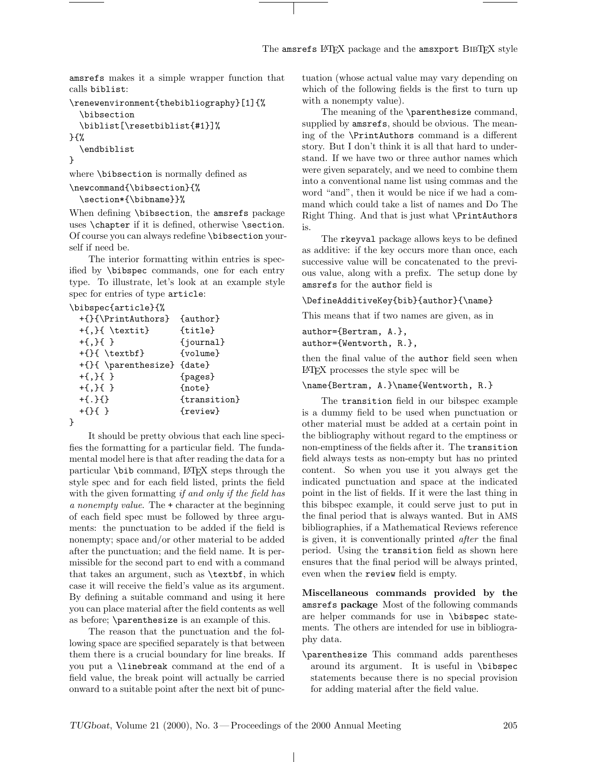amsrefs makes it a simple wrapper function that calls biblist:

```
\renewenvironment{thebibliography}[1]{%
  \bibsection
  \biblist[\resetbiblist{#1}]%
}{%
  \endbiblist
}
```
where \bibsection is normally defined as

```
\newcommand{\bibsection}{%
```

```
\section*{\bibname}}%
```
When defining \bibsection, the amsrefs package uses \chapter if it is defined, otherwise \section. Of course you can always redefine \bibsection yourself if need be.

The interior formatting within entries is specified by \bibspec commands, one for each entry type. To illustrate, let's look at an example style spec for entries of type article:

#### \bibspec{article}{%

| +{}{\PrintAuthors} {author} |                     |
|-----------------------------|---------------------|
| $+\{$ , $\}$ { \textit}     | {title}             |
| $+ \{ , \} \{ \}$           | $\{journal\}$       |
| $+\{\}$ { \textbf}          | {volume}            |
| +{}{ \parenthesize} {date}  |                     |
| $+ \{ , \} \{ \}$           | {pages}             |
| $+ \{ , \} \{ \}$           | {note}              |
| $+ \{ . \} \{ \}$           | <i>{transition}</i> |
| $+$ {}{}+                   | {review}            |
|                             |                     |

}

It should be pretty obvious that each line specifies the formatting for a particular field. The fundamental model here is that after reading the data for a particular \bib command, LATEX steps through the style spec and for each field listed, prints the field with the given formatting *if and only if the field has* a nonempty value. The + character at the beginning of each field spec must be followed by three arguments: the punctuation to be added if the field is nonempty; space and/or other material to be added after the punctuation; and the field name. It is permissible for the second part to end with a command that takes an argument, such as \textbf, in which case it will receive the field's value as its argument. By defining a suitable command and using it here you can place material after the field contents as well as before; \parenthesize is an example of this.

The reason that the punctuation and the following space are specified separately is that between them there is a crucial boundary for line breaks. If you put a \linebreak command at the end of a field value, the break point will actually be carried onward to a suitable point after the next bit of punctuation (whose actual value may vary depending on which of the following fields is the first to turn up with a nonempty value).

The meaning of the \parenthesize command, supplied by amsrefs, should be obvious. The meaning of the \PrintAuthors command is a different story. But I don't think it is all that hard to understand. If we have two or three author names which were given separately, and we need to combine them into a conventional name list using commas and the word "and", then it would be nice if we had a command which could take a list of names and Do The Right Thing. And that is just what \PrintAuthors is.

The rkeyval package allows keys to be defined as additive: if the key occurs more than once, each successive value will be concatenated to the previous value, along with a prefix. The setup done by amsrefs for the author field is

#### \DefineAdditiveKey{bib}{author}{\name}

This means that if two names are given, as in

## author={Bertram, A.}, author={Wentworth, R.},

then the final value of the author field seen when LATEX processes the style spec will be

## \name{Bertram, A.}\name{Wentworth, R.}

The transition field in our bibspec example is a dummy field to be used when punctuation or other material must be added at a certain point in the bibliography without regard to the emptiness or non-emptiness of the fields after it. The transition field always tests as non-empty but has no printed content. So when you use it you always get the indicated punctuation and space at the indicated point in the list of fields. If it were the last thing in this bibspec example, it could serve just to put in the final period that is always wanted. But in AMS bibliographies, if a Mathematical Reviews reference is given, it is conventionally printed after the final period. Using the transition field as shown here ensures that the final period will be always printed, even when the review field is empty.

Miscellaneous commands provided by the amsrefs package Most of the following commands are helper commands for use in \bibspec statements. The others are intended for use in bibliography data.

\parenthesize This command adds parentheses around its argument. It is useful in \bibspec statements because there is no special provision for adding material after the field value.

 $\mathbf{I}$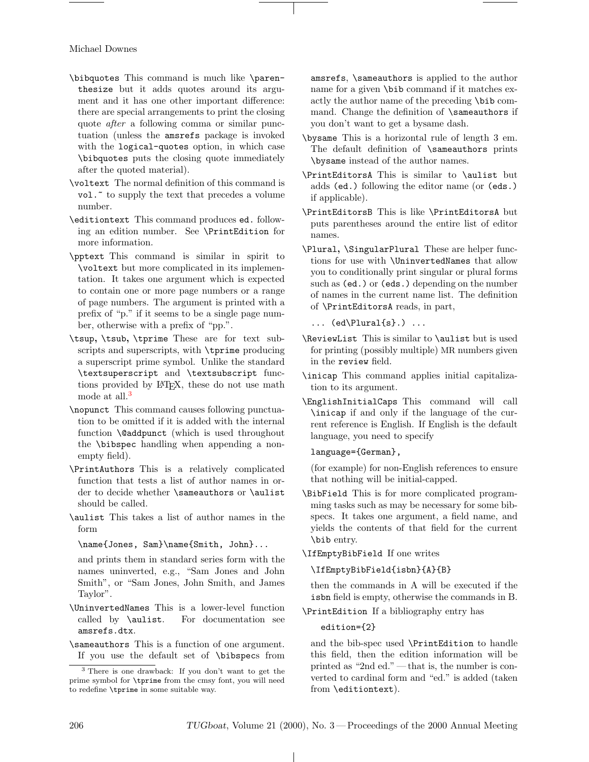Michael Downes

- \bibquotes This command is much like \parenthesize but it adds quotes around its argument and it has one other important difference: there are special arrangements to print the closing quote after a following comma or similar punctuation (unless the amsrefs package is invoked with the logical-quotes option, in which case \bibquotes puts the closing quote immediately after the quoted material).
- \voltext The normal definition of this command is vol." to supply the text that precedes a volume number.
- \editiontext This command produces ed. following an edition number. See \PrintEdition for more information.
- \pptext This command is similar in spirit to \voltext but more complicated in its implementation. It takes one argument which is expected to contain one or more page numbers or a range of page numbers. The argument is printed with a prefix of "p." if it seems to be a single page number, otherwise with a prefix of "pp.".
- \tsup, \tsub, \tprime These are for text subscripts and superscripts, with \tprime producing a superscript prime symbol. Unlike the standard \textsuperscript and \textsubscript functions provided by LATEX, these do not use math mode at all.<sup>[3](#page-5-0)</sup>
- \nopunct This command causes following punctuation to be omitted if it is added with the internal function \@addpunct (which is used throughout the \bibspec handling when appending a nonempty field).
- \PrintAuthors This is a relatively complicated function that tests a list of author names in order to decide whether \sameauthors or \aulist should be called.
- \aulist This takes a list of author names in the form

\name{Jones, Sam}\name{Smith, John}...

and prints them in standard series form with the names uninverted, e.g., "Sam Jones and John Smith", or "Sam Jones, John Smith, and James Taylor".

- \UninvertedNames This is a lower-level function called by \aulist. For documentation see amsrefs.dtx.
- \sameauthors This is a function of one argument. If you use the default set of \bibspecs from

amsrefs, \sameauthors is applied to the author name for a given \bib command if it matches exactly the author name of the preceding \bib command. Change the definition of \sameauthors if you don't want to get a bysame dash.

- \bysame This is a horizontal rule of length 3 em. The default definition of \sameauthors prints \bysame instead of the author names.
- \PrintEditorsA This is similar to \aulist but adds (ed.) following the editor name (or (eds.) if applicable).
- \PrintEditorsB This is like \PrintEditorsA but puts parentheses around the entire list of editor names.
- \Plural, \SingularPlural These are helper functions for use with \UninvertedNames that allow you to conditionally print singular or plural forms such as (ed.) or (eds.) depending on the number of names in the current name list. The definition of \PrintEditorsA reads, in part,

 $\ldots$  (ed\Plural{s}.)  $\ldots$ 

- \ReviewList This is similar to \aulist but is used for printing (possibly multiple) MR numbers given in the review field.
- \inicap This command applies initial capitalization to its argument.
- \EnglishInitialCaps This command will call \inicap if and only if the language of the current reference is English. If English is the default language, you need to specify

# language={German},

(for example) for non-English references to ensure that nothing will be initial-capped.

\BibField This is for more complicated programming tasks such as may be necessary for some bibspecs. It takes one argument, a field name, and yields the contents of that field for the current \bib entry.

\IfEmptyBibField If one writes

# \IfEmptyBibField{isbn}{A}{B}

then the commands in A will be executed if the isbn field is empty, otherwise the commands in B.

\PrintEdition If a bibliography entry has

## edition={2}

and the bib-spec used \PrintEdition to handle this field, then the edition information will be printed as "2nd ed." — that is, the number is converted to cardinal form and "ed." is added (taken from \editiontext).

<span id="page-5-0"></span><sup>3</sup> There is one drawback: If you don't want to get the prime symbol for \tprime from the cmsy font, you will need to redefine \tprime in some suitable way.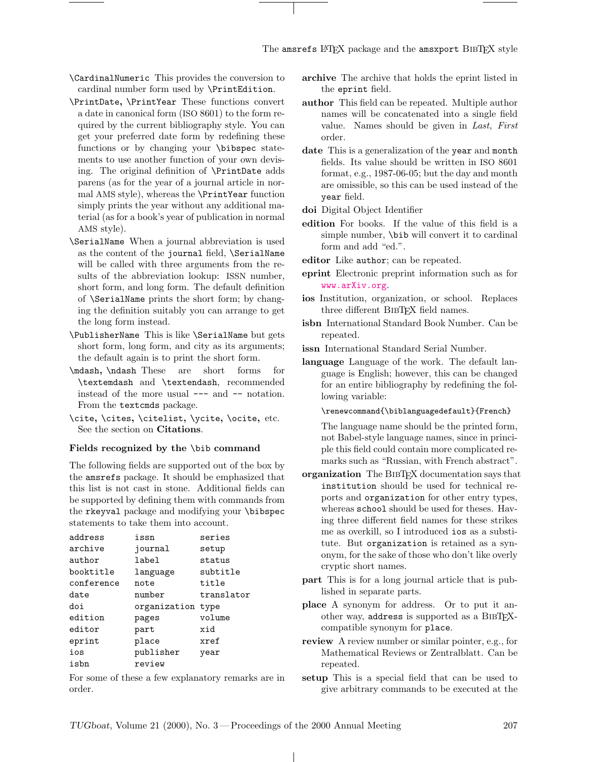\CardinalNumeric This provides the conversion to cardinal number form used by \PrintEdition.

- \PrintDate, \PrintYear These functions convert a date in canonical form (ISO 8601) to the form required by the current bibliography style. You can get your preferred date form by redefining these functions or by changing your \bibspec statements to use another function of your own devising. The original definition of \PrintDate adds parens (as for the year of a journal article in normal AMS style), whereas the \PrintYear function simply prints the year without any additional material (as for a book's year of publication in normal AMS style).
- \SerialName When a journal abbreviation is used as the content of the journal field, \SerialName will be called with three arguments from the results of the abbreviation lookup: ISSN number, short form, and long form. The default definition of \SerialName prints the short form; by changing the definition suitably you can arrange to get the long form instead.
- \PublisherName This is like \SerialName but gets short form, long form, and city as its arguments; the default again is to print the short form.
- \mdash, \ndash These are short forms for \textemdash and \textendash, recommended instead of the more usual --- and -- notation. From the text cmds package.
- \cite, \cites, \citelist, \ycite, \ocite, etc. See the section on Citations.

#### Fields recognized by the \bib command

The following fields are supported out of the box by the amsrefs package. It should be emphasized that this list is not cast in stone. Additional fields can be supported by defining them with commands from the rkeyval package and modifying your \bibspec statements to take them into account.

| address    | issn         | series     |
|------------|--------------|------------|
| archive    | journal      | setup      |
| author     | label        | status     |
| booktitle  | language     | subtitle   |
| conference | note         | title      |
| date       | number       | translator |
| doi        | organization | type       |
| edition    | pages        | volume     |
| editor     | part         | xid        |
| eprint     | place        | xref       |
| ios        | publisher    | year       |
| isbn       | review       |            |
|            |              |            |

For some of these a few explanatory remarks are in order.

- archive The archive that holds the eprint listed in the eprint field.
- author This field can be repeated. Multiple author names will be concatenated into a single field value. Names should be given in Last, First order.
- date This is a generalization of the year and month fields. Its value should be written in ISO 8601 format, e.g., 1987-06-05; but the day and month are omissible, so this can be used instead of the year field.
- doi Digital Object Identifier
- edition For books. If the value of this field is a simple number, \bib will convert it to cardinal form and add "ed.".
- editor Like author; can be repeated.
- eprint Electronic preprint information such as for <www.arXiv.org>.
- ios Institution, organization, or school. Replaces three different BibTEX field names.
- isbn International Standard Book Number. Can be repeated.
- issn International Standard Serial Number.
- language Language of the work. The default language is English; however, this can be changed for an entire bibliography by redefining the following variable:
	- \renewcommand{\biblanguagedefault}{French}

The language name should be the printed form, not Babel-style language names, since in principle this field could contain more complicated remarks such as "Russian, with French abstract".

- organization The BIBT<sub>F</sub>X documentation says that institution should be used for technical reports and organization for other entry types, whereas school should be used for theses. Having three different field names for these strikes me as overkill, so I introduced ios as a substitute. But organization is retained as a synonym, for the sake of those who don't like overly cryptic short names.
- part This is for a long journal article that is published in separate parts.
- place A synonym for address. Or to put it another way, address is supported as a BIBTFXcompatible synonym for place.
- review A review number or similar pointer, e.g., for Mathematical Reviews or Zentralblatt. Can be repeated.
- setup This is a special field that can be used to give arbitrary commands to be executed at the

 $\mathbf{I}$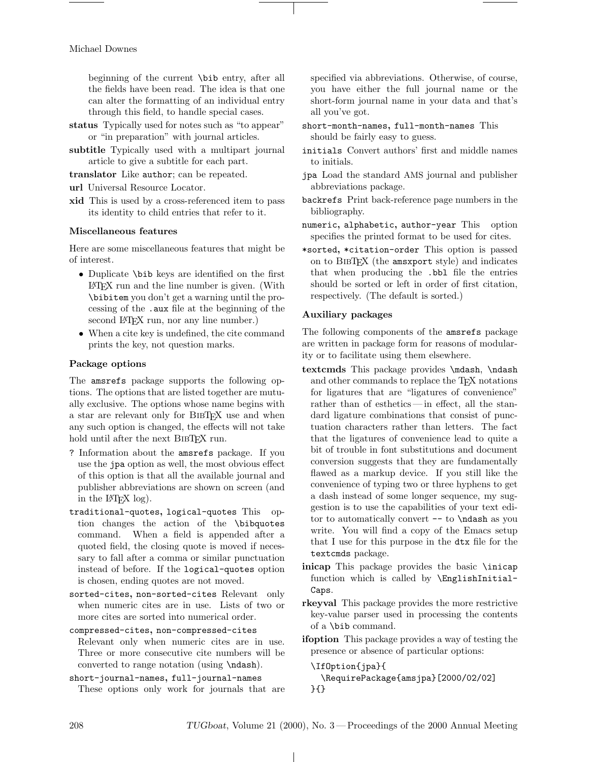#### Michael Downes

beginning of the current \bib entry, after all the fields have been read. The idea is that one can alter the formatting of an individual entry through this field, to handle special cases.

- status Typically used for notes such as "to appear" or "in preparation" with journal articles.
- subtitle Typically used with a multipart journal article to give a subtitle for each part.
- translator Like author; can be repeated.
- url Universal Resource Locator.
- xid This is used by a cross-referenced item to pass its identity to child entries that refer to it.

### Miscellaneous features

Here are some miscellaneous features that might be of interest.

- Duplicate \bib keys are identified on the first LATEX run and the line number is given. (With \bibitem you don't get a warning until the processing of the .aux file at the beginning of the second LAT<sub>EX</sub> run, nor any line number.)
- When a cite key is undefined, the cite command prints the key, not question marks.

## Package options

The amsrefs package supports the following options. The options that are listed together are mutually exclusive. The options whose name begins with a star are relevant only for BIBTFX use and when any such option is changed, the effects will not take hold until after the next BIBTEX run.

- ? Information about the amsrefs package. If you use the jpa option as well, the most obvious effect of this option is that all the available journal and publisher abbreviations are shown on screen (and in the L<sup>AT</sup>FX log).
- traditional-quotes, logical-quotes This option changes the action of the \bibquotes command. When a field is appended after a quoted field, the closing quote is moved if necessary to fall after a comma or similar punctuation instead of before. If the logical-quotes option is chosen, ending quotes are not moved.
- sorted-cites, non-sorted-cites Relevant only when numeric cites are in use. Lists of two or more cites are sorted into numerical order.
- compressed-cites, non-compressed-cites Relevant only when numeric cites are in use. Three or more consecutive cite numbers will be converted to range notation (using \ndash).
- short-journal-names, full-journal-names These options only work for journals that are

specified via abbreviations. Otherwise, of course, you have either the full journal name or the short-form journal name in your data and that's all you've got.

- short-month-names, full-month-names This should be fairly easy to guess.
- initials Convert authors' first and middle names to initials.
- jpa Load the standard AMS journal and publisher abbreviations package.
- backrefs Print back-reference page numbers in the bibliography.
- numeric, alphabetic, author-year This option specifies the printed format to be used for cites.
- \*sorted, \*citation-order This option is passed on to BibTEX (the amsxport style) and indicates that when producing the .bbl file the entries should be sorted or left in order of first citation, respectively. (The default is sorted.)

#### Auxiliary packages

The following components of the amsrefs package are written in package form for reasons of modularity or to facilitate using them elsewhere.

- textcmds This package provides \mdash, \ndash and other commands to replace the TEX notations for ligatures that are "ligatures of convenience" rather than of esthetics — in effect, all the standard ligature combinations that consist of punctuation characters rather than letters. The fact that the ligatures of convenience lead to quite a bit of trouble in font substitutions and document conversion suggests that they are fundamentally flawed as a markup device. If you still like the convenience of typing two or three hyphens to get a dash instead of some longer sequence, my suggestion is to use the capabilities of your text editor to automatically convert -- to \ndash as you write. You will find a copy of the Emacs setup that I use for this purpose in the dtx file for the textcmds package.
- inicap This package provides the basic \inicap function which is called by \EnglishInitial-Caps.
- rkeyval This package provides the more restrictive key-value parser used in processing the contents of a \bib command.
- ifoption This package provides a way of testing the presence or absence of particular options:

\IfOption{jpa}{ \RequirePackage{amsjpa}[2000/02/02] }{}

 $\perp$